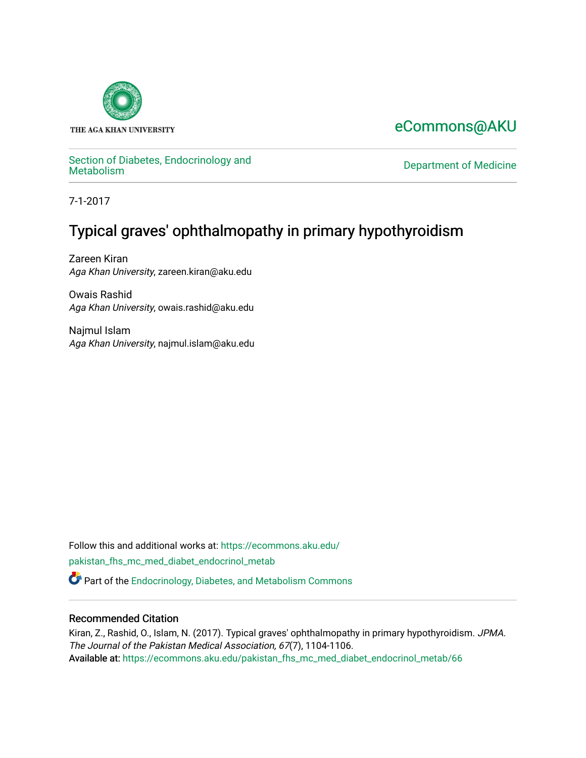

THE AGA KHAN UNIVERSITY

# [eCommons@AKU](https://ecommons.aku.edu/)

# Section of Diabetes, Endocrinology and<br>Metabolism

Department of Medicine

7-1-2017

# Typical graves' ophthalmopathy in primary hypothyroidism

Zareen Kiran Aga Khan University, zareen.kiran@aku.edu

Owais Rashid Aga Khan University, owais.rashid@aku.edu

Najmul Islam Aga Khan University, najmul.islam@aku.edu

Follow this and additional works at: [https://ecommons.aku.edu/](https://ecommons.aku.edu/pakistan_fhs_mc_med_diabet_endocrinol_metab?utm_source=ecommons.aku.edu%2Fpakistan_fhs_mc_med_diabet_endocrinol_metab%2F66&utm_medium=PDF&utm_campaign=PDFCoverPages) [pakistan\\_fhs\\_mc\\_med\\_diabet\\_endocrinol\\_metab](https://ecommons.aku.edu/pakistan_fhs_mc_med_diabet_endocrinol_metab?utm_source=ecommons.aku.edu%2Fpakistan_fhs_mc_med_diabet_endocrinol_metab%2F66&utm_medium=PDF&utm_campaign=PDFCoverPages) 

Part of the [Endocrinology, Diabetes, and Metabolism Commons](http://network.bepress.com/hgg/discipline/686?utm_source=ecommons.aku.edu%2Fpakistan_fhs_mc_med_diabet_endocrinol_metab%2F66&utm_medium=PDF&utm_campaign=PDFCoverPages)

## Recommended Citation

Kiran, Z., Rashid, O., Islam, N. (2017). Typical graves' ophthalmopathy in primary hypothyroidism. JPMA. The Journal of the Pakistan Medical Association, 67(7), 1104-1106. Available at: [https://ecommons.aku.edu/pakistan\\_fhs\\_mc\\_med\\_diabet\\_endocrinol\\_metab/66](https://ecommons.aku.edu/pakistan_fhs_mc_med_diabet_endocrinol_metab/66)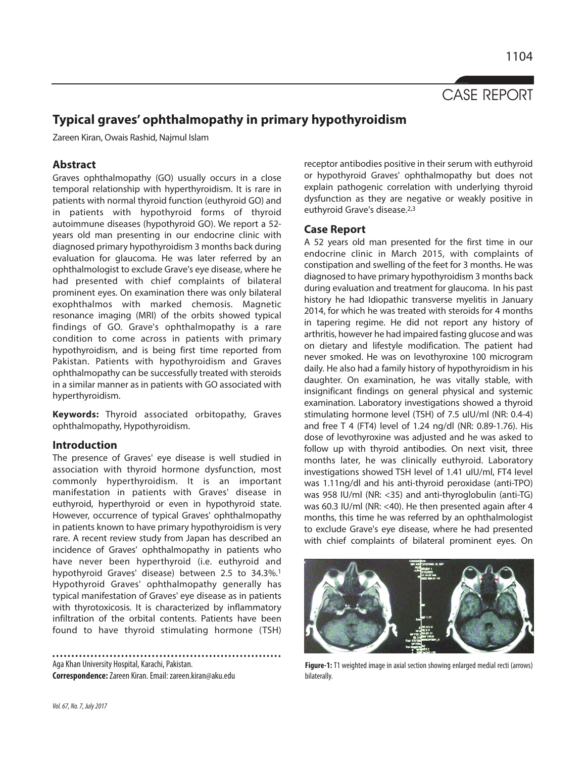

# **Typical graves' ophthalmopathy in primary hypothyroidism**

Zareen Kiran, Owais Rashid, Najmul Islam

## **Abstract**

Graves ophthalmopathy (GO) usually occurs in a close temporal relationship with hyperthyroidism. It is rare in patients with normal thyroid function (euthyroid GO) and in patients with hypothyroid forms of thyroid autoimmune diseases (hypothyroid GO). We report a 52 years old man presenting in our endocrine clinic with diagnosed primary hypothyroidism 3 months back during evaluation for glaucoma. He was later referred by an ophthalmologist to exclude Grave's eye disease, where he had presented with chief complaints of bilateral prominent eyes. On examination there was only bilateral exophthalmos with marked chemosis. Magnetic resonance imaging (MRI) of the orbits showed typical findings of GO. Grave's ophthalmopathy is a rare condition to come across in patients with primary hypothyroidism, and is being first time reported from Pakistan. Patients with hypothyroidism and Graves ophthalmopathy can be successfully treated with steroids in a similar manner as in patients with GO associated with hyperthyroidism.

**Keywords:** Thyroid associated orbitopathy, Graves ophthalmopathy, Hypothyroidism.

### **Introduction**

The presence of Graves' eye disease is well studied in association with thyroid hormone dysfunction, most commonly hyperthyroidism. It is an important manifestation in patients with Graves' disease in euthyroid, hyperthyroid or even in hypothyroid state. However, occurrence of typical Graves' ophthalmopathy in patients known to have primary hypothyroidism is very rare. A recent review study from Japan has described an incidence of Graves' ophthalmopathy in patients who have never been hyperthyroid (i.e. euthyroid and hypothyroid Graves' disease) between 2.5 to 34.3%.<sup>1</sup> Hypothyroid Graves' ophthalmopathy generally has typical manifestation of Graves' eye disease as in patients with thyrotoxicosis. It is characterized by inflammatory infiltration of the orbital contents. Patients have been found to have thyroid stimulating hormone (TSH)

Aga Khan University Hospital, Karachi, Pakistan. **Correspondence:**Zareen Kiran. Email: zareen.kiran@aku.edu

receptor antibodies positive in their serum with euthyroid or hypothyroid Graves' ophthalmopathy but does not explain pathogenic correlation with underlying thyroid dysfunction as they are negative or weakly positive in euthyroid Grave's disease.2,3

### **Case Report**

A 52 years old man presented for the first time in our endocrine clinic in March 2015, with complaints of constipation and swelling of the feet for 3 months. He was diagnosed to have primary hypothyroidism 3 months back during evaluation and treatment for glaucoma. In his past history he had Idiopathic transverse myelitis in January 2014, for which he was treated with steroids for 4 months in tapering regime. He did not report any history of arthritis, however he had impaired fasting glucose and was on dietary and lifestyle modification. The patient had never smoked. He was on levothyroxine 100 microgram daily. He also had a family history of hypothyroidism in his daughter. On examination, he was vitally stable, with insignificant findings on general physical and systemic examination. Laboratory investigations showed a thyroid stimulating hormone level (TSH) of 7.5 uIU/ml (NR: 0.4-4) and free T 4 (FT4) level of 1.24 ng/dl (NR: 0.89-1.76). His dose of levothyroxine was adjusted and he was asked to follow up with thyroid antibodies. On next visit, three months later, he was clinically euthyroid. Laboratory investigations showed TSH level of 1.41 uIU/ml, FT4 level was 1.11ng/dl and his anti-thyroid peroxidase (anti-TPO) was 958 IU/ml (NR: <35) and anti-thyroglobulin (anti-TG) was 60.3 IU/ml (NR: <40). He then presented again after 4 months, this time he was referred by an ophthalmologist to exclude Grave's eye disease, where he had presented with chief complaints of bilateral prominent eyes. On



**Figure-1:** T1 weighted image in axial section showing enlarged medial recti (arrows) bilaterally.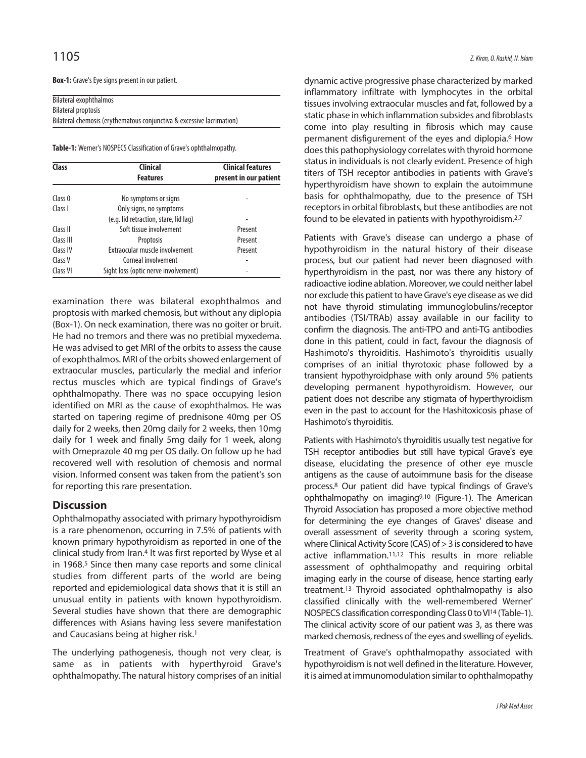**Box-1:** Grave's Eye signs present in our patient.

| Bilateral exophthalmos                                                |  |  |
|-----------------------------------------------------------------------|--|--|
| <b>Bilateral proptosis</b>                                            |  |  |
| Bilateral chemosis (erythematous conjunctiva & excessive lacrimation) |  |  |

**Table-1:** Werner's NOSPECS Classification of Grave's ophthalmopathy.

| Class     | <b>Clinical</b><br><b>Features</b>    | <b>Clinical features</b><br>present in our patient |
|-----------|---------------------------------------|----------------------------------------------------|
|           |                                       |                                                    |
| Class I   | Only signs, no symptoms               |                                                    |
|           | (e.g. lid retraction, stare, lid lag) |                                                    |
| Class II  | Soft tissue involvement               | Present                                            |
| Class III | Proptosis                             | Present                                            |
| Class IV  | Extraocular muscle involvement        | Present                                            |
| Class V   | Corneal involvement                   |                                                    |
| Class VI  | Sight loss (optic nerve involvement)  |                                                    |

examination there was bilateral exophthalmos and proptosis with marked chemosis, but without any diplopia (Box-1). On neck examination, there was no goiter or bruit. He had no tremors and there was no pretibial myxedema. He was advised to get MRI of the orbits to assess the cause of exophthalmos. MRI of the orbits showed enlargement of extraocular muscles, particularly the medial and inferior rectus muscles which are typical findings of Grave's ophthalmopathy. There was no space occupying lesion identified on MRI as the cause of exophthalmos. He was started on tapering regime of prednisone 40mg per OS daily for 2 weeks, then 20mg daily for 2 weeks, then 10mg daily for 1 week and finally 5mg daily for 1 week, along with Omeprazole 40 mg per OS daily. On follow up he had recovered well with resolution of chemosis and normal vision. Informed consent was taken from the patient's son for reporting this rare presentation.

### **Discussion**

Ophthalmopathy associated with primary hypothyroidism is a rare phenomenon, occurring in 7.5% of patients with known primary hypothyroidism as reported in one of the clinical study from Iran.<sup>4</sup> It was first reported by Wyse et al in 1968.<sup>5</sup> Since then many case reports and some clinical studies from different parts of the world are being reported and epidemiological data shows that it is still an unusual entity in patients with known hypothyroidism. Several studies have shown that there are demographic differences with Asians having less severe manifestation and Caucasians being at higher risk.<sup>1</sup>

The underlying pathogenesis, though not very clear, is same as in patients with hyperthyroid Grave's ophthalmopathy. The natural history comprises of an initial

dynamic active progressive phase characterized by marked inflammatory infiltrate with lymphocytes in the orbital tissues involving extraocular muscles and fat, followed by a static phase in which inflammation subsides and fibroblasts come into play resulting in fibrosis which may cause permanent disfigurement of the eyes and diplopia.<sup>6</sup> How does this pathophysiology correlates with thyroid hormone status in individuals is not clearly evident. Presence of high titers of TSH receptor antibodies in patients with Grave's hyperthyroidism have shown to explain the autoimmune basis for ophthalmopathy, due to the presence of TSH receptors in orbital fibroblasts, but these antibodies are not found to be elevated in patients with hypothyroidism.2,7

Patients with Grave's disease can undergo a phase of hypothyroidism in the natural history of their disease process, but our patient had never been diagnosed with hyperthyroidism in the past, nor was there any history of radioactive iodine ablation. Moreover, we could neither label nor exclude this patient to have Grave's eye disease as we did not have thyroid stimulating immunoglobulins/receptor antibodies (TSI/TRAb) assay available in our facility to confirm the diagnosis. The anti-TPO and anti-TG antibodies done in this patient, could in fact, favour the diagnosis of Hashimoto's thyroiditis. Hashimoto's thyroiditis usually comprises of an initial thyrotoxic phase followed by a transient hypothyroidphase with only around 5% patients developing permanent hypothyroidism. However, our patient does not describe any stigmata of hyperthyroidism even in the past to account for the Hashitoxicosis phase of Hashimoto's thyroiditis.

Patients with Hashimoto's thyroiditis usually test negative for TSH receptor antibodies but still have typical Grave's eye disease, elucidating the presence of other eye muscle antigens as the cause of autoimmune basis for the disease process.<sup>8</sup> Our patient did have typical findings of Grave's ophthalmopathy on imaging9,10 (Figure-1). The American Thyroid Association has proposed a more objective method for determining the eye changes of Graves' disease and overall assessment of severity through a scoring system, where Clinical Activity Score (CAS) of  $>$  3 is considered to have active inflammation.11,12 This results in more reliable assessment of ophthalmopathy and requiring orbital imaging early in the course of disease, hence starting early treatment.<sup>13</sup> Thyroid associated ophthalmopathy is also classified clinically with the well-remembered Werner' NOSPECS classification corresponding Class 0 to VI<sup>14</sup> (Table-1). The clinical activity score of our patient was 3, as there was marked chemosis, redness of the eyes and swelling of eyelids.

Treatment of Grave's ophthalmopathy associated with hypothyroidism is not well defined in the literature. However, it is aimed at immunomodulation similar to ophthalmopathy